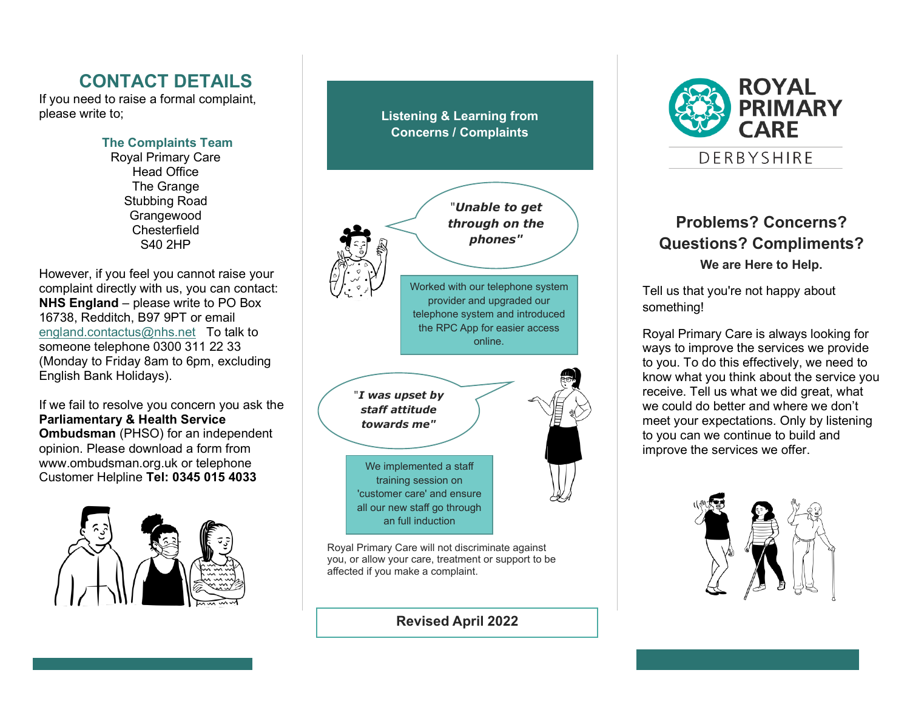# **CONTACT DETAILS**

If you need to raise a formal complaint, please write to;

> **The Complaints Team** Royal Primary Care Head Office The Grange Stubbing Road Grangewood **Chesterfield** S40 2HP

However, if you feel you cannot raise your complaint directly with us, you can contact: **NHS England** – please write to PO Box 16738, Redditch, B97 9PT or email [england.contactus@nhs.net](mailto:england.contactus@nhs.net) To talk to someone telephone 0300 311 22 33 (Monday to Friday 8am to 6pm, excluding English Bank Holidays).

If we fail to resolve you concern you ask the **Parliamentary & Health Service Ombudsman** (PHSO) for an independent opinion. Please download a form from www.ombudsman.org.uk or telephone Customer Helpline **Tel: 0345 015 4033**



**Listening & Learning from Concerns / Complaints**



Royal Primary Care will not discriminate against you, or allow your care, treatment or support to be affected if you make a complaint.

**Revised April 2022**



### **Problems? Concerns? Questions? Compliments? We are Here to Help.**

Tell us that you're not happy about something!

Royal Primary Care is always looking for ways to improve the services we provide to you. To do this effectively, we need to know what you think about the service you receive. Tell us what we did great, what we could do better and where we don't meet your expectations. Only by listening to you can we continue to build and improve the services we offer.